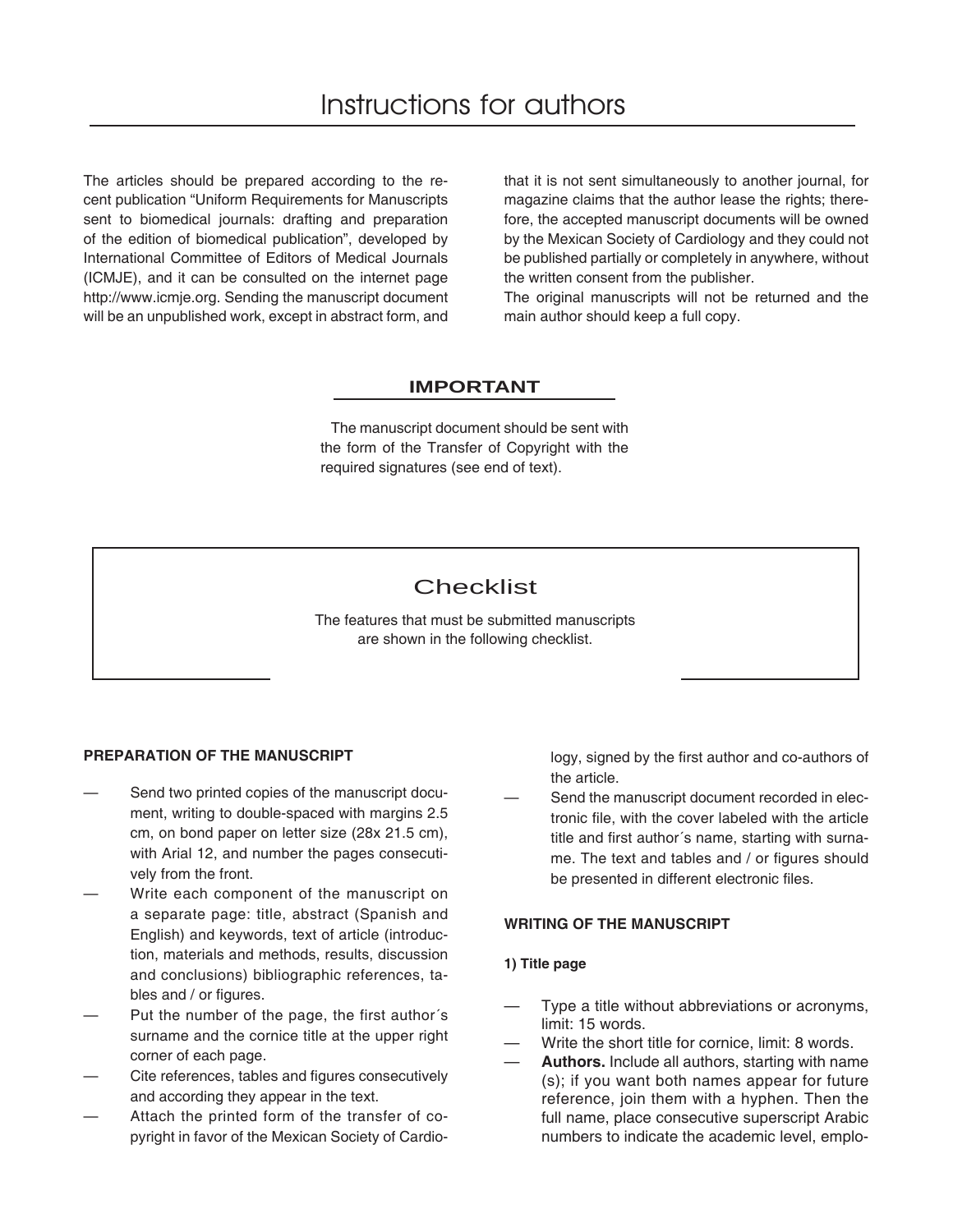The articles should be prepared according to the recent publication "Uniform Requirements for Manuscripts sent to biomedical journals: drafting and preparation of the edition of biomedical publication", developed by International Committee of Editors of Medical Journals (ICMJE), and it can be consulted on the internet page http://www.icmje.org. Sending the manuscript document will be an unpublished work, except in abstract form, and

that it is not sent simultaneously to another journal, for magazine claims that the author lease the rights; therefore, the accepted manuscript documents will be owned by the Mexican Society of Cardiology and they could not be published partially or completely in anywhere, without the written consent from the publisher.

The original manuscripts will not be returned and the main author should keep a full copy.

# **IMPORTANT**

 The manuscript document should be sent with the form of the Transfer of Copyright with the required signatures (see end of text).

# **Checklist**

The features that must be submitted manuscripts are shown in the following checklist.

## **PREPARATION OF THE MANUSCRIPT**

- Send two printed copies of the manuscript document, writing to double-spaced with margins 2.5 cm, on bond paper on letter size (28x 21.5 cm), with Arial 12, and number the pages consecutively from the front.
- Write each component of the manuscript on a separate page: title, abstract (Spanish and English) and keywords, text of article (introduction, materials and methods, results, discussion and conclusions) bibliographic references, tables and / or figures.
- Put the number of the page, the first author's surname and the cornice title at the upper right corner of each page.
- Cite references, tables and figures consecutively and according they appear in the text.
- Attach the printed form of the transfer of copyright in favor of the Mexican Society of Cardio-

logy, signed by the first author and co-authors of the article.

Send the manuscript document recorded in electronic file, with the cover labeled with the article title and first author's name, starting with surname. The text and tables and / or figures should be presented in different electronic files.

#### **WRITING OF THE MANUSCRIPT**

#### **1) Title page**

- Type a title without abbreviations or acronyms, limit: 15 words.
- Write the short title for cornice, limit: 8 words.
- Authors. Include all authors, starting with name (s); if you want both names appear for future reference, join them with a hyphen. Then the full name, place consecutive superscript Arabic numbers to indicate the academic level, emplo-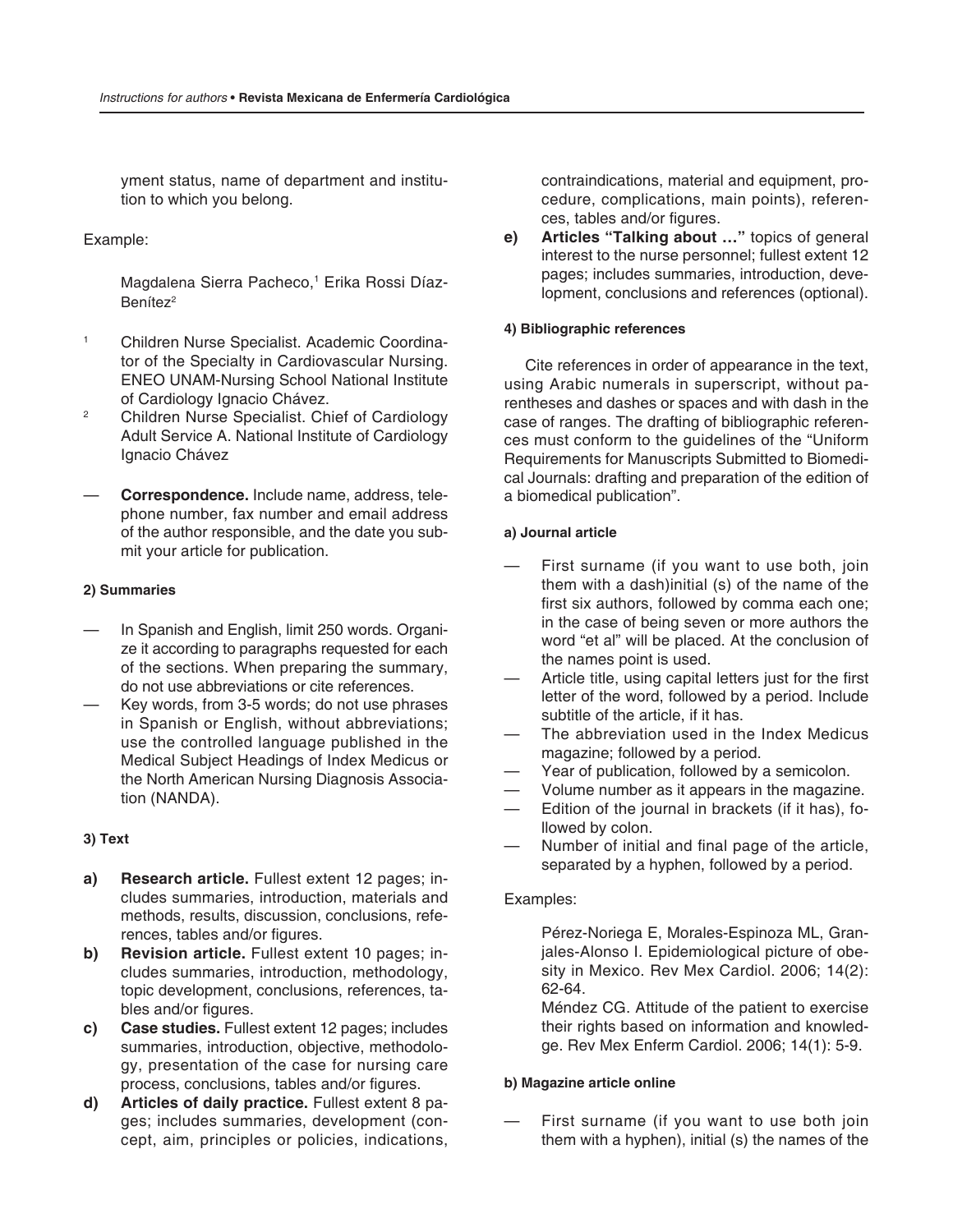yment status, name of department and institution to which you belong.

## Example:

Magdalena Sierra Pacheco,<sup>1</sup> Erika Rossi Díaz-Benítez<sup>2</sup>

- 1 Children Nurse Specialist. Academic Coordinator of the Specialty in Cardiovascular Nursing. ENEO UNAM-Nursing School National Institute of Cardiology Ignacio Chávez.
- 2 Children Nurse Specialist. Chief of Cardiology Adult Service A. National Institute of Cardiology Ignacio Chávez
- **Correspondence.** Include name, address, telephone number, fax number and email address of the author responsible, and the date you submit your article for publication.

#### **2) Summaries**

- In Spanish and English, limit 250 words. Organize it according to paragraphs requested for each of the sections. When preparing the summary, do not use abbreviations or cite references.
- Key words, from 3-5 words; do not use phrases in Spanish or English, without abbreviations; use the controlled language published in the Medical Subject Headings of Index Medicus or the North American Nursing Diagnosis Association (NANDA).

#### **3) Text**

- **a) Research article.** Fullest extent 12 pages; includes summaries, introduction, materials and methods, results, discussion, conclusions, references, tables and/or figures.
- **b) Revision article.** Fullest extent 10 pages; includes summaries, introduction, methodology, topic development, conclusions, references, tables and/or figures.
- **c) Case studies.** Fullest extent 12 pages; includes summaries, introduction, objective, methodology, presentation of the case for nursing care process, conclusions, tables and/or figures.
- **d) Articles of daily practice.** Fullest extent 8 pages; includes summaries, development (concept, aim, principles or policies, indications,

contraindications, material and equipment, procedure, complications, main points), references, tables and/or figures.

**e) Articles "Talking about …"** topics of general interest to the nurse personnel; fullest extent 12 pages; includes summaries, introduction, development, conclusions and references (optional).

#### **4) Bibliographic references**

 Cite references in order of appearance in the text, using Arabic numerals in superscript, without parentheses and dashes or spaces and with dash in the case of ranges. The drafting of bibliographic references must conform to the guidelines of the "Uniform Requirements for Manuscripts Submitted to Biomedical Journals: drafting and preparation of the edition of a biomedical publication".

#### **a) Journal article**

- First surname (if you want to use both, join them with a dash)initial (s) of the name of the first six authors, followed by comma each one; in the case of being seven or more authors the word "et al" will be placed. At the conclusion of the names point is used.
- Article title, using capital letters just for the first letter of the word, followed by a period. Include subtitle of the article, if it has.
- The abbreviation used in the Index Medicus magazine; followed by a period.
- Year of publication, followed by a semicolon.
- Volume number as it appears in the magazine.
- Edition of the journal in brackets (if it has), followed by colon.
- Number of initial and final page of the article, separated by a hyphen, followed by a period.

#### Examples:

 Pérez-Noriega E, Morales-Espinoza ML, Granjales-Alonso I. Epidemiological picture of obesity in Mexico. Rev Mex Cardiol. 2006; 14(2): 62-64.

 Méndez CG. Attitude of the patient to exercise their rights based on information and knowledge. Rev Mex Enferm Cardiol. 2006; 14(1): 5-9.

#### **b) Magazine article online**

First surname (if you want to use both join them with a hyphen), initial (s) the names of the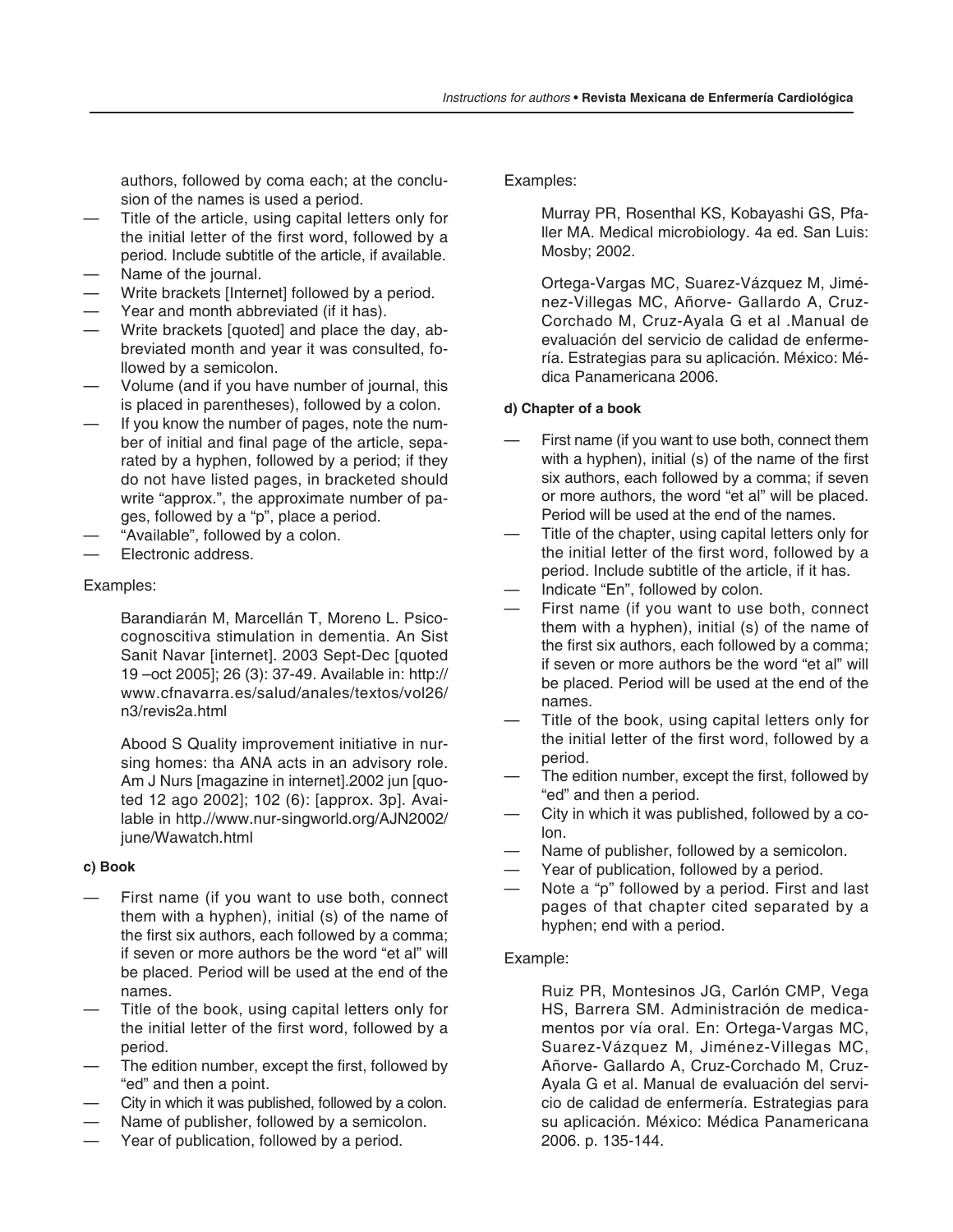authors, followed by coma each; at the conclusion of the names is used a period.

- Title of the article, using capital letters only for the initial letter of the first word, followed by a period. Include subtitle of the article, if available.
- Name of the journal.
- Write brackets [Internet] followed by a period.
- Year and month abbreviated (if it has).
- Write brackets [quoted] and place the day, abbreviated month and year it was consulted, followed by a semicolon.
- Volume (and if you have number of journal, this is placed in parentheses), followed by a colon.
- If you know the number of pages, note the number of initial and final page of the article, separated by a hyphen, followed by a period; if they do not have listed pages, in bracketed should write "approx.", the approximate number of pages, followed by a "p", place a period.
- "Available", followed by a colon.
- Electronic address.

# Examples:

 Barandiarán M, Marcellán T, Moreno L. Psicocognoscitiva stimulation in dementia. An Sist Sanit Navar [internet]. 2003 Sept-Dec [quoted 19 –oct 2005]; 26 (3): 37-49. Available in: http:// www.cfnavarra.es/salud/anales/textos/vol26/ n3/revis2a.html

 Abood S Quality improvement initiative in nursing homes: tha ANA acts in an advisory role. Am J Nurs [magazine in internet].2002 jun [quoted 12 ago 2002]; 102 (6): [approx. 3p]. Available in http.//www.nur-singworld.org/AJN2002/ june/Wawatch.html

## **c) Book**

- First name (if you want to use both, connect them with a hyphen), initial (s) of the name of the first six authors, each followed by a comma; if seven or more authors be the word "et al" will be placed. Period will be used at the end of the names.
- Title of the book, using capital letters only for the initial letter of the first word, followed by a period.
- The edition number, except the first, followed by "ed" and then a point.
- City in which it was published, followed by a colon.
- Name of publisher, followed by a semicolon.
- Year of publication, followed by a period.

# Examples:

 Murray PR, Rosenthal KS, Kobayashi GS, Pfaller MA. Medical microbiology. 4a ed. San Luis: Mosby; 2002.

 Ortega-Vargas MC, Suarez-Vázquez M, Jiménez-Villegas MC, Añorve- Gallardo A, Cruz-Corchado M, Cruz-Ayala G et al .Manual de evaluación del servicio de calidad de enfermería. Estrategias para su aplicación. México: Médica Panamericana 2006.

# **d) Chapter of a book**

- First name (if you want to use both, connect them with a hyphen), initial  $(s)$  of the name of the first six authors, each followed by a comma; if seven or more authors, the word "et al" will be placed. Period will be used at the end of the names.
- Title of the chapter, using capital letters only for the initial letter of the first word, followed by a period. Include subtitle of the article, if it has.
- Indicate "En", followed by colon.
- First name (if you want to use both, connect them with a hyphen), initial (s) of the name of the first six authors, each followed by a comma; if seven or more authors be the word "et al" will be placed. Period will be used at the end of the names.
- Title of the book, using capital letters only for the initial letter of the first word, followed by a period.
- The edition number, except the first, followed by "ed" and then a period.
- City in which it was published, followed by a colon.
- Name of publisher, followed by a semicolon.
- Year of publication, followed by a period.
- Note a "p" followed by a period. First and last pages of that chapter cited separated by a hyphen; end with a period.

# Example:

 Ruiz PR, Montesinos JG, Carlón CMP, Vega HS, Barrera SM. Administración de medicamentos por vía oral. En: Ortega-Vargas MC, Suarez-Vázquez M, Jiménez-Villegas MC, Añorve- Gallardo A, Cruz-Corchado M, Cruz-Ayala G et al. Manual de evaluación del servicio de calidad de enfermería. Estrategias para su aplicación. México: Médica Panamericana 2006. p. 135-144.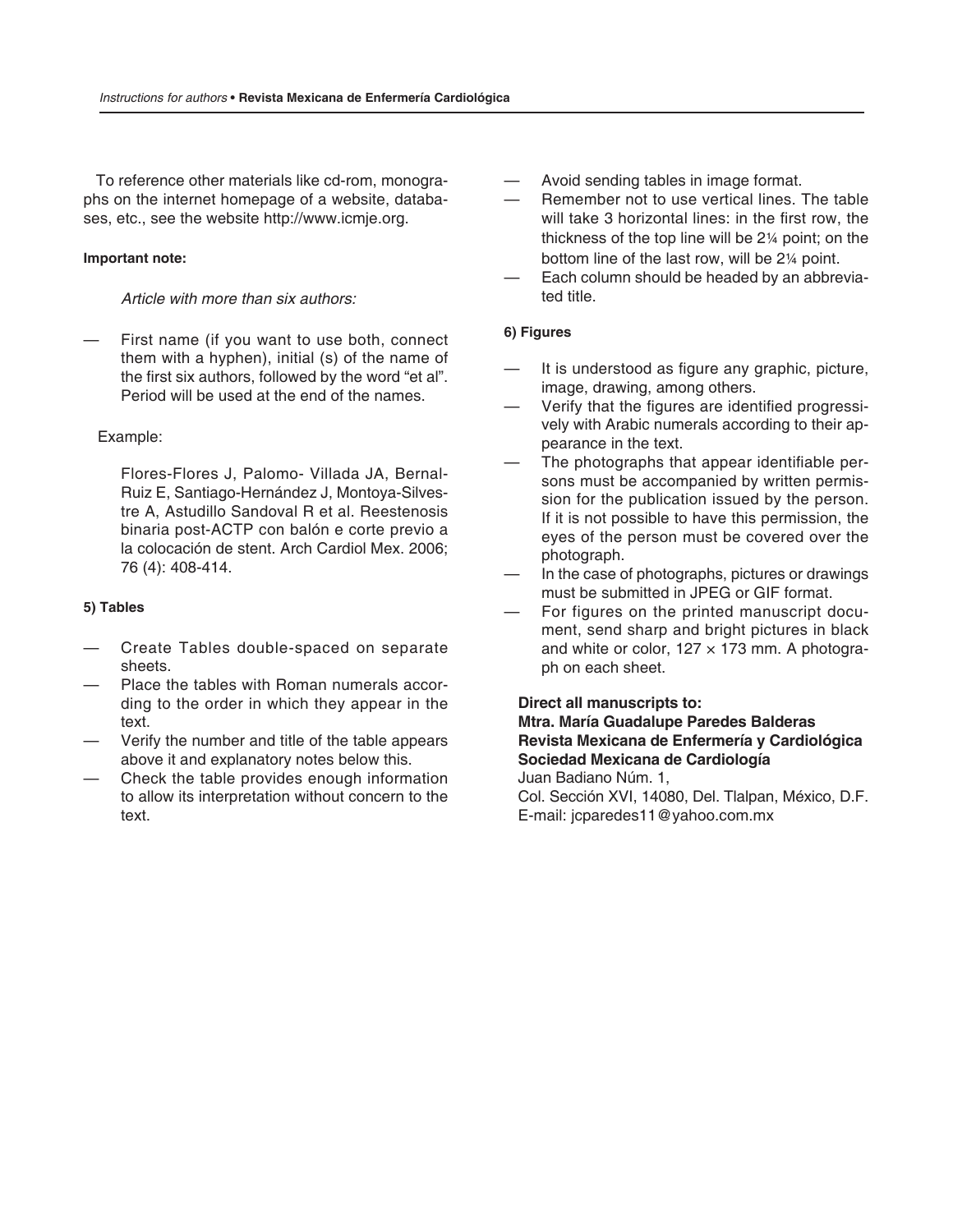To reference other materials like cd-rom, monographs on the internet homepage of a website, databases, etc., see the website http://www.icmje.org.

# **Important note:**

*Article with more than six authors:*

First name (if you want to use both, connect them with a hyphen), initial (s) of the name of the first six authors, followed by the word "et al". Period will be used at the end of the names.

## Example:

 Flores-Flores J, Palomo- Villada JA, Bernal-Ruiz E, Santiago-Hernández J, Montoya-Silvestre A, Astudillo Sandoval R et al. Reestenosis binaria post-ACTP con balón e corte previo a la colocación de stent. Arch Cardiol Mex. 2006; 76 (4): 408-414.

# **5) Tables**

- Create Tables double-spaced on separate sheets.
- Place the tables with Roman numerals according to the order in which they appear in the text.
- Verify the number and title of the table appears above it and explanatory notes below this.
- Check the table provides enough information to allow its interpretation without concern to the text.
- Avoid sending tables in image format.
- Remember not to use vertical lines. The table will take 3 horizontal lines: in the first row, the thickness of the top line will be 2¼ point; on the bottom line of the last row, will be 2¼ point.
- Each column should be headed by an abbreviated title.

# **6) Figures**

- It is understood as figure any graphic, picture, image, drawing, among others.
- Verify that the figures are identified progressively with Arabic numerals according to their appearance in the text.
- The photographs that appear identifiable persons must be accompanied by written permission for the publication issued by the person. If it is not possible to have this permission, the eyes of the person must be covered over the photograph.
- In the case of photographs, pictures or drawings must be submitted in JPEG or GIF format.
- For figures on the printed manuscript document, send sharp and bright pictures in black and white or color,  $127 \times 173$  mm. A photograph on each sheet.

## **Direct all manuscripts to:**

## **Mtra. María Guadalupe Paredes Balderas Revista Mexicana de Enfermería y Cardiológica Sociedad Mexicana de Cardiología** Juan Badiano Núm. 1,

 Col. Sección XVI, 14080, Del. Tlalpan, México, D.F. E-mail: jcparedes11@yahoo.com.mx